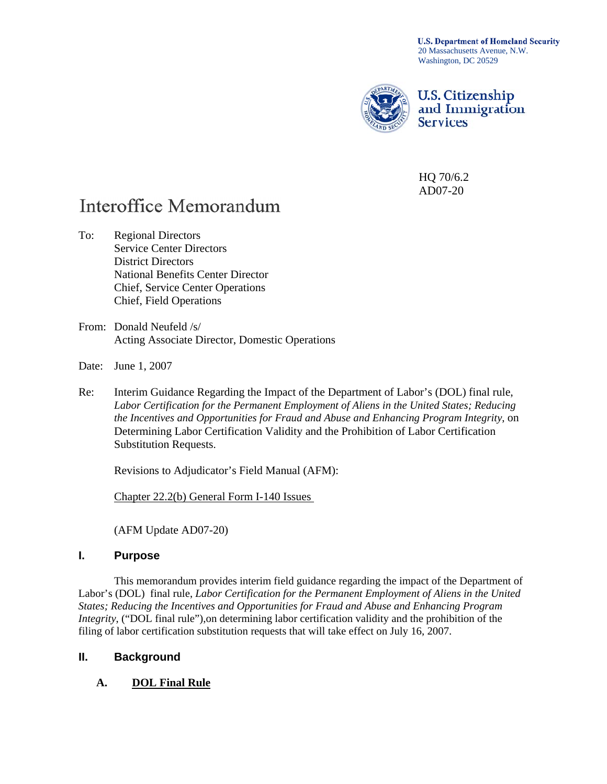**U.S. Department of Homeland Security** 20 Massachusetts Avenue, N.W. Washington, DC 20529



**U.S. Citizenship** and Immigration **Services** 

HQ 70/6.2 AD07-20

# **Interoffice Memorandum**

- To: Regional Directors Service Center Directors District Directors National Benefits Center Director Chief, Service Center Operations Chief, Field Operations
- From: Donald Neufeld /s/ Acting Associate Director, Domestic Operations
- Date: June 1, 2007
- Re: Interim Guidance Regarding the Impact of the Department of Labor's (DOL) final rule, *Labor Certification for the Permanent Employment of Aliens in the United States; Reducing the Incentives and Opportunities for Fraud and Abuse and Enhancing Program Integrity*, on Determining Labor Certification Validity and the Prohibition of Labor Certification Substitution Requests.

Revisions to Adjudicator's Field Manual (AFM):

Chapter 22.2(b) General Form I-140 Issues

(AFM Update AD07-20)

#### **I. Purpose**

This memorandum provides interim field guidance regarding the impact of the Department of Labor's (DOL) final rule, *Labor Certification for the Permanent Employment of Aliens in the United States; Reducing the Incentives and Opportunities for Fraud and Abuse and Enhancing Program Integrity*, ("DOL final rule"),on determining labor certification validity and the prohibition of the filing of labor certification substitution requests that will take effect on July 16, 2007.

#### **II. Background**

**A. DOL Final Rule**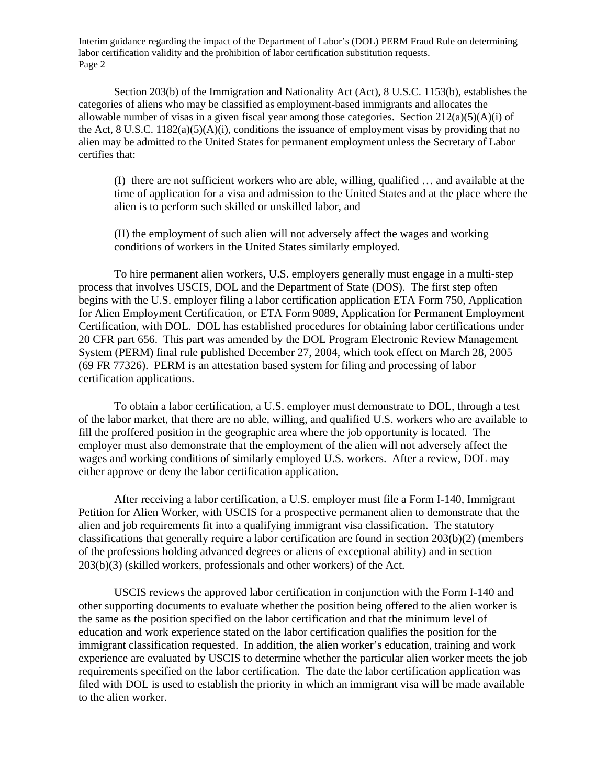Section 203(b) of the Immigration and Nationality Act (Act), 8 U.S.C. 1153(b), establishes the categories of aliens who may be classified as employment-based immigrants and allocates the allowable number of visas in a given fiscal year among those categories. Section  $212(a)(5)(A)(i)$  of the Act, 8 U.S.C.  $1182(a)(5)(A)(i)$ , conditions the issuance of employment visas by providing that no alien may be admitted to the United States for permanent employment unless the Secretary of Labor certifies that:

(I) there are not sufficient workers who are able, willing, qualified … and available at the time of application for a visa and admission to the United States and at the place where the alien is to perform such skilled or unskilled labor, and

(II) the employment of such alien will not adversely affect the wages and working conditions of workers in the United States similarly employed.

 To hire permanent alien workers, U.S. employers generally must engage in a multi-step process that involves USCIS, DOL and the Department of State (DOS). The first step often begins with the U.S. employer filing a labor certification application ETA Form 750, Application for Alien Employment Certification, or ETA Form 9089, Application for Permanent Employment Certification, with DOL. DOL has established procedures for obtaining labor certifications under 20 CFR part 656. This part was amended by the DOL Program Electronic Review Management System (PERM) final rule published December 27, 2004, which took effect on March 28, 2005 (69 FR 77326). PERM is an attestation based system for filing and processing of labor certification applications.

 To obtain a labor certification, a U.S. employer must demonstrate to DOL, through a test of the labor market, that there are no able, willing, and qualified U.S. workers who are available to fill the proffered position in the geographic area where the job opportunity is located. The employer must also demonstrate that the employment of the alien will not adversely affect the wages and working conditions of similarly employed U.S. workers. After a review, DOL may either approve or deny the labor certification application.

 After receiving a labor certification, a U.S. employer must file a Form I-140, Immigrant Petition for Alien Worker, with USCIS for a prospective permanent alien to demonstrate that the alien and job requirements fit into a qualifying immigrant visa classification. The statutory classifications that generally require a labor certification are found in section 203(b)(2) (members of the professions holding advanced degrees or aliens of exceptional ability) and in section 203(b)(3) (skilled workers, professionals and other workers) of the Act.

USCIS reviews the approved labor certification in conjunction with the Form I-140 and other supporting documents to evaluate whether the position being offered to the alien worker is the same as the position specified on the labor certification and that the minimum level of education and work experience stated on the labor certification qualifies the position for the immigrant classification requested. In addition, the alien worker's education, training and work experience are evaluated by USCIS to determine whether the particular alien worker meets the job requirements specified on the labor certification. The date the labor certification application was filed with DOL is used to establish the priority in which an immigrant visa will be made available to the alien worker.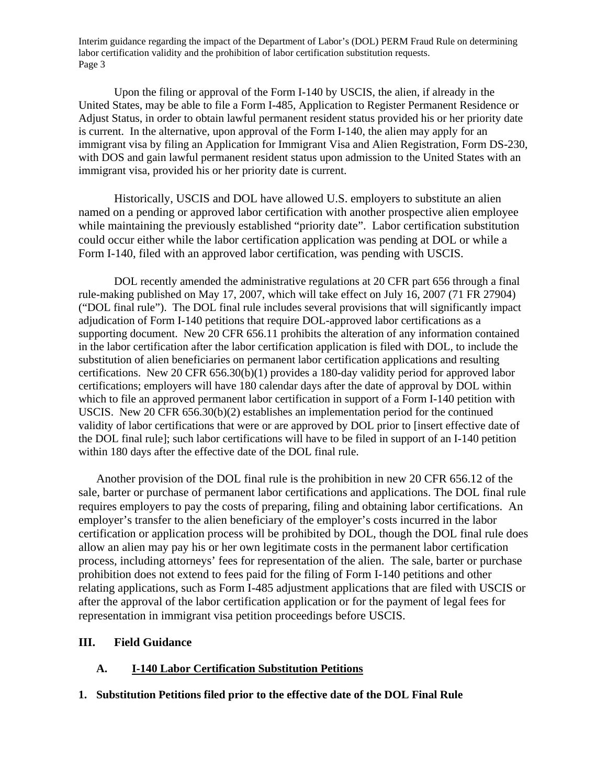Upon the filing or approval of the Form I-140 by USCIS, the alien, if already in the United States, may be able to file a Form I-485, Application to Register Permanent Residence or Adjust Status, in order to obtain lawful permanent resident status provided his or her priority date is current. In the alternative, upon approval of the Form I-140, the alien may apply for an immigrant visa by filing an Application for Immigrant Visa and Alien Registration, Form DS-230, with DOS and gain lawful permanent resident status upon admission to the United States with an immigrant visa, provided his or her priority date is current.

 Historically, USCIS and DOL have allowed U.S. employers to substitute an alien named on a pending or approved labor certification with another prospective alien employee while maintaining the previously established "priority date". Labor certification substitution could occur either while the labor certification application was pending at DOL or while a Form I-140, filed with an approved labor certification, was pending with USCIS.

DOL recently amended the administrative regulations at 20 CFR part 656 through a final rule-making published on May 17, 2007, which will take effect on July 16, 2007 (71 FR 27904) ("DOL final rule"). The DOL final rule includes several provisions that will significantly impact adjudication of Form I-140 petitions that require DOL-approved labor certifications as a supporting document. New 20 CFR 656.11 prohibits the alteration of any information contained in the labor certification after the labor certification application is filed with DOL, to include the substitution of alien beneficiaries on permanent labor certification applications and resulting certifications. New 20 CFR 656.30(b)(1) provides a 180-day validity period for approved labor certifications; employers will have 180 calendar days after the date of approval by DOL within which to file an approved permanent labor certification in support of a Form I-140 petition with USCIS. New 20 CFR 656.30(b)(2) establishes an implementation period for the continued validity of labor certifications that were or are approved by DOL prior to [insert effective date of the DOL final rule]; such labor certifications will have to be filed in support of an I-140 petition within 180 days after the effective date of the DOL final rule.

Another provision of the DOL final rule is the prohibition in new 20 CFR 656.12 of the sale, barter or purchase of permanent labor certifications and applications. The DOL final rule requires employers to pay the costs of preparing, filing and obtaining labor certifications. An employer's transfer to the alien beneficiary of the employer's costs incurred in the labor certification or application process will be prohibited by DOL, though the DOL final rule does allow an alien may pay his or her own legitimate costs in the permanent labor certification process, including attorneys' fees for representation of the alien. The sale, barter or purchase prohibition does not extend to fees paid for the filing of Form I-140 petitions and other relating applications, such as Form I-485 adjustment applications that are filed with USCIS or after the approval of the labor certification application or for the payment of legal fees for representation in immigrant visa petition proceedings before USCIS.

#### **III. Field Guidance**

#### **A. I-140 Labor Certification Substitution Petitions**

#### **1. Substitution Petitions filed prior to the effective date of the DOL Final Rule**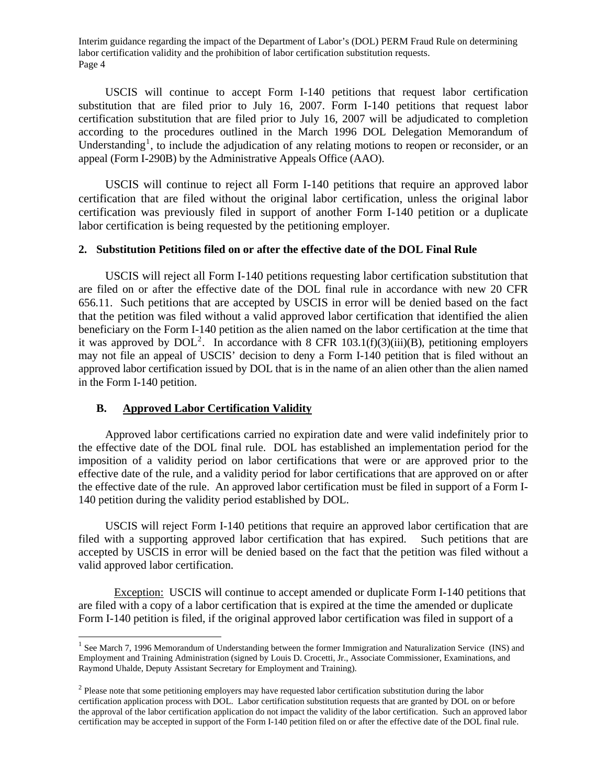USCIS will continue to accept Form I-140 petitions that request labor certification substitution that are filed prior to July 16, 2007. Form I-140 petitions that request labor certification substitution that are filed prior to July 16, 2007 will be adjudicated to completion according to the procedures outlined in the March 1996 DOL Delegation Memorandum of Understanding<sup>[1](#page-3-0)</sup>, to include the adjudication of any relating motions to reopen or reconsider, or an appeal (Form I-290B) by the Administrative Appeals Office (AAO).

USCIS will continue to reject all Form I-140 petitions that require an approved labor certification that are filed without the original labor certification, unless the original labor certification was previously filed in support of another Form I-140 petition or a duplicate labor certification is being requested by the petitioning employer.

#### **2. Substitution Petitions filed on or after the effective date of the DOL Final Rule**

 USCIS will reject all Form I-140 petitions requesting labor certification substitution that are filed on or after the effective date of the DOL final rule in accordance with new 20 CFR 656.11. Such petitions that are accepted by USCIS in error will be denied based on the fact that the petition was filed without a valid approved labor certification that identified the alien beneficiary on the Form I-140 petition as the alien named on the labor certification at the time that it was approved by  $DOL<sup>2</sup>$  $DOL<sup>2</sup>$  $DOL<sup>2</sup>$ . In accordance with 8 CFR 103.1(f)(3)(iii)(B), petitioning employers may not file an appeal of USCIS' decision to deny a Form I-140 petition that is filed without an approved labor certification issued by DOL that is in the name of an alien other than the alien named in the Form I-140 petition.

#### **B. Approved Labor Certification Validity**

 $\overline{a}$ 

 Approved labor certifications carried no expiration date and were valid indefinitely prior to the effective date of the DOL final rule. DOL has established an implementation period for the imposition of a validity period on labor certifications that were or are approved prior to the effective date of the rule, and a validity period for labor certifications that are approved on or after the effective date of the rule. An approved labor certification must be filed in support of a Form I-140 petition during the validity period established by DOL.

 USCIS will reject Form I-140 petitions that require an approved labor certification that are filed with a supporting approved labor certification that has expired. Such petitions that are accepted by USCIS in error will be denied based on the fact that the petition was filed without a valid approved labor certification.

 Exception: USCIS will continue to accept amended or duplicate Form I-140 petitions that are filed with a copy of a labor certification that is expired at the time the amended or duplicate Form I-140 petition is filed, if the original approved labor certification was filed in support of a

<span id="page-3-0"></span> $1$  See March 7, 1996 Memorandum of Understanding between the former Immigration and Naturalization Service (INS) and Employment and Training Administration (signed by Louis D. Crocetti, Jr., Associate Commissioner, Examinations, and Raymond Uhalde, Deputy Assistant Secretary for Employment and Training).

<span id="page-3-1"></span> $2$  Please note that some petitioning employers may have requested labor certification substitution during the labor certification application process with DOL. Labor certification substitution requests that are granted by DOL on or before the approval of the labor certification application do not impact the validity of the labor certification. Such an approved labor certification may be accepted in support of the Form I-140 petition filed on or after the effective date of the DOL final rule.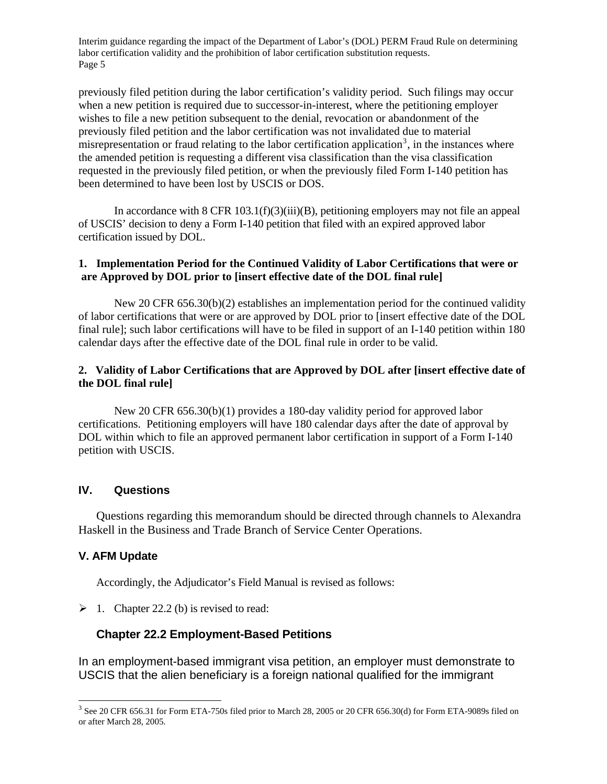previously filed petition during the labor certification's validity period. Such filings may occur when a new petition is required due to successor-in-interest, where the petitioning employer wishes to file a new petition subsequent to the denial, revocation or abandonment of the previously filed petition and the labor certification was not invalidated due to material misrepresentation or fraud relating to the labor certification application<sup>[3](#page-4-0)</sup>, in the instances where the amended petition is requesting a different visa classification than the visa classification requested in the previously filed petition, or when the previously filed Form I-140 petition has been determined to have been lost by USCIS or DOS.

 In accordance with 8 CFR 103.1(f)(3)(iii)(B), petitioning employers may not file an appeal of USCIS' decision to deny a Form I-140 petition that filed with an expired approved labor certification issued by DOL.

#### **1. Implementation Period for the Continued Validity of Labor Certifications that were or are Approved by DOL prior to [insert effective date of the DOL final rule]**

 New 20 CFR 656.30(b)(2) establishes an implementation period for the continued validity of labor certifications that were or are approved by DOL prior to [insert effective date of the DOL final rule]; such labor certifications will have to be filed in support of an I-140 petition within 180 calendar days after the effective date of the DOL final rule in order to be valid.

#### **2. Validity of Labor Certifications that are Approved by DOL after [insert effective date of the DOL final rule]**

 New 20 CFR 656.30(b)(1) provides a 180-day validity period for approved labor certifications. Petitioning employers will have 180 calendar days after the date of approval by DOL within which to file an approved permanent labor certification in support of a Form I-140 petition with USCIS.

#### **IV. Questions**

 Questions regarding this memorandum should be directed through channels to Alexandra Haskell in the Business and Trade Branch of Service Center Operations.

#### **V. AFM Update**

 $\overline{a}$ 

Accordingly, the Adjudicator's Field Manual is revised as follows:

 $\geq 1$ . Chapter 22.2 (b) is revised to read:

## **Chapter 22.2 Employment-Based Petitions**

In an employment-based immigrant visa petition, an employer must demonstrate to USCIS that the alien beneficiary is a foreign national qualified for the immigrant

<span id="page-4-0"></span><sup>&</sup>lt;sup>3</sup> See 20 CFR 656.31 for Form ETA-750s filed prior to March 28, 2005 or 20 CFR 656.30(d) for Form ETA-9089s filed on or after March 28, 2005.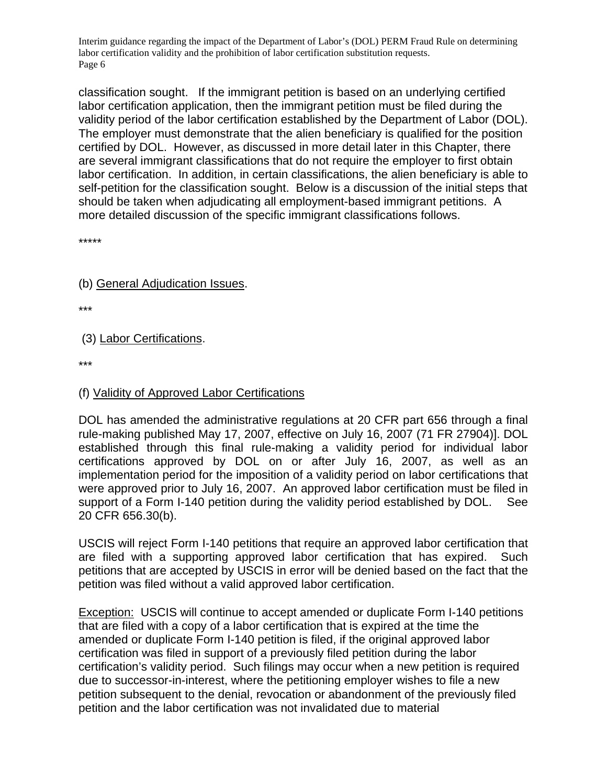classification sought. If the immigrant petition is based on an underlying certified labor certification application, then the immigrant petition must be filed during the validity period of the labor certification established by the Department of Labor (DOL). The employer must demonstrate that the alien beneficiary is qualified for the position certified by DOL. However, as discussed in more detail later in this Chapter, there are several immigrant classifications that do not require the employer to first obtain labor certification. In addition, in certain classifications, the alien beneficiary is able to self-petition for the classification sought. Below is a discussion of the initial steps that should be taken when adjudicating all employment-based immigrant petitions. A more detailed discussion of the specific immigrant classifications follows.

\*\*\*\*\*

## (b) General Adjudication Issues.

\*\*\*

(3) Labor Certifications.

\*\*\*

### (f) Validity of Approved Labor Certifications

DOL has amended the administrative regulations at 20 CFR part 656 through a final rule-making published May 17, 2007, effective on July 16, 2007 (71 FR 27904)]. DOL established through this final rule-making a validity period for individual labor certifications approved by DOL on or after July 16, 2007, as well as an implementation period for the imposition of a validity period on labor certifications that were approved prior to July 16, 2007. An approved labor certification must be filed in support of a Form I-140 petition during the validity period established by DOL. See 20 CFR 656.30(b).

USCIS will reject Form I-140 petitions that require an approved labor certification that are filed with a supporting approved labor certification that has expired. Such petitions that are accepted by USCIS in error will be denied based on the fact that the petition was filed without a valid approved labor certification.

Exception: USCIS will continue to accept amended or duplicate Form I-140 petitions that are filed with a copy of a labor certification that is expired at the time the amended or duplicate Form I-140 petition is filed, if the original approved labor certification was filed in support of a previously filed petition during the labor certification's validity period. Such filings may occur when a new petition is required due to successor-in-interest, where the petitioning employer wishes to file a new petition subsequent to the denial, revocation or abandonment of the previously filed petition and the labor certification was not invalidated due to material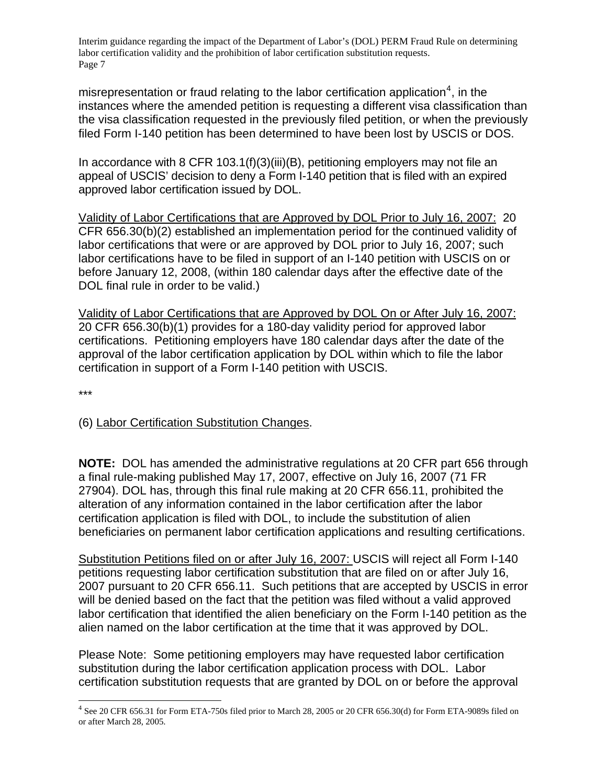misrepresentation or fraud relating to the labor certification application<sup>[4](#page-6-0)</sup>, in the instances where the amended petition is requesting a different visa classification than the visa classification requested in the previously filed petition, or when the previously filed Form I-140 petition has been determined to have been lost by USCIS or DOS.

In accordance with 8 CFR 103.1(f)(3)(iii)(B), petitioning employers may not file an appeal of USCIS' decision to deny a Form I-140 petition that is filed with an expired approved labor certification issued by DOL.

Validity of Labor Certifications that are Approved by DOL Prior to July 16, 2007: 20 CFR 656.30(b)(2) established an implementation period for the continued validity of labor certifications that were or are approved by DOL prior to July 16, 2007; such labor certifications have to be filed in support of an I-140 petition with USCIS on or before January 12, 2008, (within 180 calendar days after the effective date of the DOL final rule in order to be valid.)

Validity of Labor Certifications that are Approved by DOL On or After July 16, 2007: 20 CFR 656.30(b)(1) provides for a 180-day validity period for approved labor certifications. Petitioning employers have 180 calendar days after the date of the approval of the labor certification application by DOL within which to file the labor certification in support of a Form I-140 petition with USCIS.

\*\*\*

 $\overline{a}$ 

# (6) Labor Certification Substitution Changes.

**NOTE:** DOL has amended the administrative regulations at 20 CFR part 656 through a final rule-making published May 17, 2007, effective on July 16, 2007 (71 FR 27904). DOL has, through this final rule making at 20 CFR 656.11, prohibited the alteration of any information contained in the labor certification after the labor certification application is filed with DOL, to include the substitution of alien beneficiaries on permanent labor certification applications and resulting certifications.

Substitution Petitions filed on or after July 16, 2007: USCIS will reject all Form I-140 petitions requesting labor certification substitution that are filed on or after July 16, 2007 pursuant to 20 CFR 656.11. Such petitions that are accepted by USCIS in error will be denied based on the fact that the petition was filed without a valid approved labor certification that identified the alien beneficiary on the Form I-140 petition as the alien named on the labor certification at the time that it was approved by DOL.

Please Note: Some petitioning employers may have requested labor certification substitution during the labor certification application process with DOL. Labor certification substitution requests that are granted by DOL on or before the approval

<span id="page-6-0"></span> $4$  See 20 CFR 656.31 for Form ETA-750s filed prior to March 28, 2005 or 20 CFR 656.30(d) for Form ETA-9089s filed on or after March 28, 2005.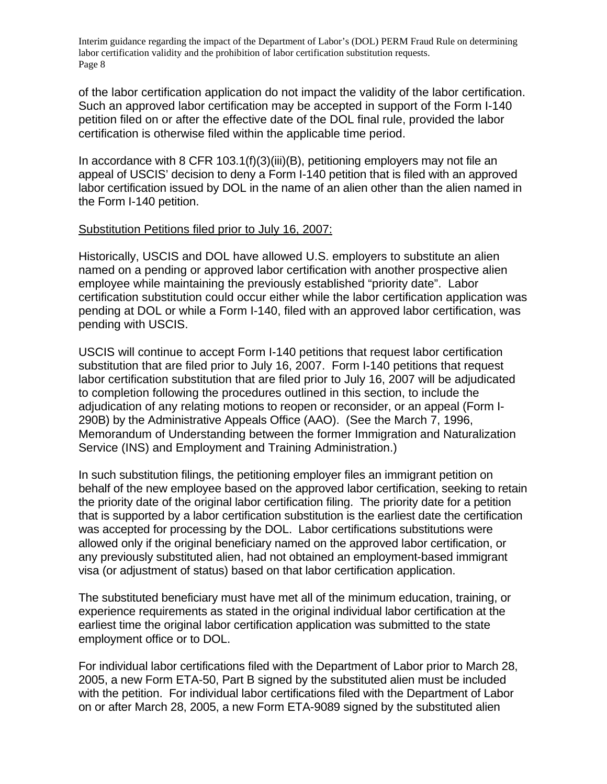of the labor certification application do not impact the validity of the labor certification. Such an approved labor certification may be accepted in support of the Form I-140 petition filed on or after the effective date of the DOL final rule, provided the labor certification is otherwise filed within the applicable time period.

In accordance with 8 CFR 103.1(f)(3)(iii)(B), petitioning employers may not file an appeal of USCIS' decision to deny a Form I-140 petition that is filed with an approved labor certification issued by DOL in the name of an alien other than the alien named in the Form I-140 petition.

## Substitution Petitions filed prior to July 16, 2007:

Historically, USCIS and DOL have allowed U.S. employers to substitute an alien named on a pending or approved labor certification with another prospective alien employee while maintaining the previously established "priority date". Labor certification substitution could occur either while the labor certification application was pending at DOL or while a Form I-140, filed with an approved labor certification, was pending with USCIS.

USCIS will continue to accept Form I-140 petitions that request labor certification substitution that are filed prior to July 16, 2007. Form I-140 petitions that request labor certification substitution that are filed prior to July 16, 2007 will be adjudicated to completion following the procedures outlined in this section, to include the adjudication of any relating motions to reopen or reconsider, or an appeal (Form I-290B) by the Administrative Appeals Office (AAO). (See the March 7, 1996, Memorandum of Understanding between the former Immigration and Naturalization Service (INS) and Employment and Training Administration.)

In such substitution filings, the petitioning employer files an immigrant petition on behalf of the new employee based on the approved labor certification, seeking to retain the priority date of the original labor certification filing. The priority date for a petition that is supported by a labor certification substitution is the earliest date the certification was accepted for processing by the DOL. Labor certifications substitutions were allowed only if the original beneficiary named on the approved labor certification, or any previously substituted alien, had not obtained an employment-based immigrant visa (or adjustment of status) based on that labor certification application.

The substituted beneficiary must have met all of the minimum education, training, or experience requirements as stated in the original individual labor certification at the earliest time the original labor certification application was submitted to the state employment office or to DOL.

For individual labor certifications filed with the Department of Labor prior to March 28, 2005, a new Form ETA-50, Part B signed by the substituted alien must be included with the petition. For individual labor certifications filed with the Department of Labor on or after March 28, 2005, a new Form ETA-9089 signed by the substituted alien